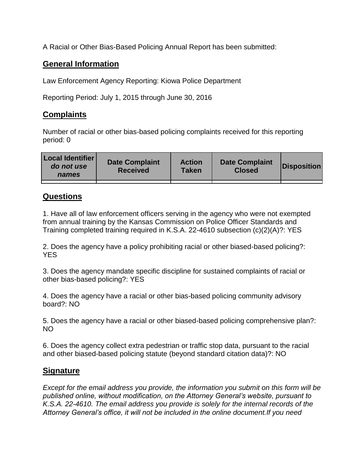A Racial or Other Bias-Based Policing Annual Report has been submitted:

## **General Information**

Law Enforcement Agency Reporting: Kiowa Police Department

Reporting Period: July 1, 2015 through June 30, 2016

## **Complaints**

Number of racial or other bias-based policing complaints received for this reporting period: 0

| <b>Local Identifier</b><br>do not use<br>names | <b>Date Complaint</b><br><b>Received</b> | <b>Action</b><br><b>Taken</b> | <b>Date Complaint</b><br><b>Closed</b> | Disposition |
|------------------------------------------------|------------------------------------------|-------------------------------|----------------------------------------|-------------|
|                                                |                                          |                               |                                        |             |

## **Questions**

1. Have all of law enforcement officers serving in the agency who were not exempted from annual training by the Kansas Commission on Police Officer Standards and Training completed training required in K.S.A. 22-4610 subsection (c)(2)(A)?: YES

2. Does the agency have a policy prohibiting racial or other biased-based policing?: YES

3. Does the agency mandate specific discipline for sustained complaints of racial or other bias-based policing?: YES

4. Does the agency have a racial or other bias-based policing community advisory board?: NO

5. Does the agency have a racial or other biased-based policing comprehensive plan?: NO

6. Does the agency collect extra pedestrian or traffic stop data, pursuant to the racial and other biased-based policing statute (beyond standard citation data)?: NO

## **Signature**

*Except for the email address you provide, the information you submit on this form will be published online, without modification, on the Attorney General's website, pursuant to K.S.A. 22-4610. The email address you provide is solely for the internal records of the Attorney General's office, it will not be included in the online document.If you need*